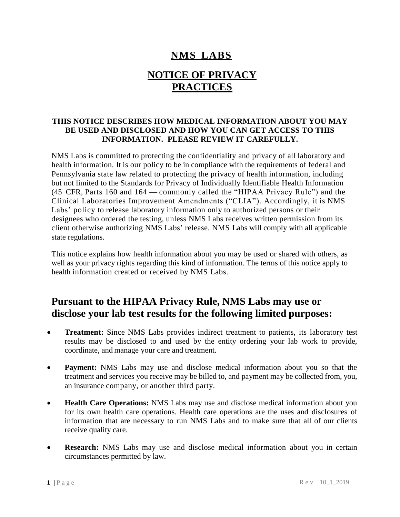#### **NMS LABS**

# **NOTICE OF PRIVACY PRACTICES**

#### **THIS NOTICE DESCRIBES HOW MEDICAL INFORMATION ABOUT YOU MAY BE USED AND DISCLOSED AND HOW YOU CAN GET ACCESS TO THIS INFORMATION. PLEASE REVIEW IT CAREFULLY.**

NMS Labs is committed to protecting the confidentiality and privacy of all laboratory and health information. It is our policy to be in compliance with the requirements of federal and Pennsylvania state law related to protecting the privacy of health information, including but not limited to the Standards for Privacy of Individually Identifiable Health Information (45 CFR, Parts 160 and 164 — commonly called the "HIPAA Privacy Rule") and the Clinical Laboratories Improvement Amendments ("CLIA"). Accordingly, it is NMS Labs' policy to release laboratory information only to authorized persons or their designees who ordered the testing, unless NMS Labs receives written permission from its client otherwise authorizing NMS Labs' release. NMS Labs will comply with all applicable state regulations.

This notice explains how health information about you may be used or shared with others, as well as your privacy rights regarding this kind of information. The terms of this notice apply to health information created or received by NMS Labs.

#### **Pursuant to the HIPAA Privacy Rule, NMS Labs may use or disclose your lab test results for the following limited purposes:**

- **Treatment:** Since NMS Labs provides indirect treatment to patients, its laboratory test results may be disclosed to and used by the entity ordering your lab work to provide, coordinate, and manage your care and treatment.
- **Payment:** NMS Labs may use and disclose medical information about you so that the treatment and services you receive may be billed to, and payment may be collected from, you, an insurance company, or another third party.
- **Health Care Operations:** NMS Labs may use and disclose medical information about you for its own health care operations. Health care operations are the uses and disclosures of information that are necessary to run NMS Labs and to make sure that all of our clients receive quality care.
- **Research:** NMS Labs may use and disclose medical information about you in certain circumstances permitted by law.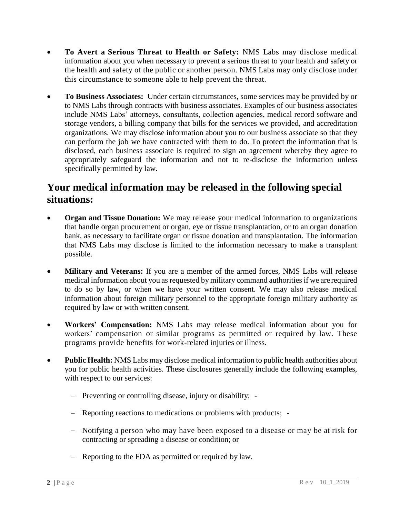- **To Avert a Serious Threat to Health or Safety:** NMS Labs may disclose medical information about you when necessary to prevent a serious threat to your health and safety or the health and safety of the public or another person. NMS Labs may only disclose under this circumstance to someone able to help prevent the threat.
- **To Business Associates:** Under certain circumstances, some services may be provided by or to NMS Labs through contracts with business associates. Examples of our business associates include NMS Labs' attorneys, consultants, collection agencies, medical record software and storage vendors, a billing company that bills for the services we provided, and accreditation organizations. We may disclose information about you to our business associate so that they can perform the job we have contracted with them to do. To protect the information that is disclosed, each business associate is required to sign an agreement whereby they agree to appropriately safeguard the information and not to re-disclose the information unless specifically permitted by law.

#### **Your medical information may be released in the following special situations:**

- **Organ and Tissue Donation:** We may release your medical information to organizations that handle organ procurement or organ, eye or tissue transplantation, or to an organ donation bank, as necessary to facilitate organ or tissue donation and transplantation. The information that NMS Labs may disclose is limited to the information necessary to make a transplant possible.
- **Military and Veterans:** If you are a member of the armed forces, NMS Labs will release medical information about you as requested by military command authorities if we are required to do so by law, or when we have your written consent. We may also release medical information about foreign military personnel to the appropriate foreign military authority as required by law or with written consent.
- **Workers' Compensation:** NMS Labs may release medical information about you for workers' compensation or similar programs as permitted or required by law. These programs provide benefits for work-related injuries or illness.
- **Public Health:** NMS Labs may disclose medical information to public health authorities about you for public health activities. These disclosures generally include the following examples, with respect to our services:
	- Preventing or controlling disease, injury or disability; -
	- Reporting reactions to medications or problems with products; -
	- Notifying a person who may have been exposed to a disease or may be at risk for contracting or spreading a disease or condition; or
	- Reporting to the FDA as permitted or required by law.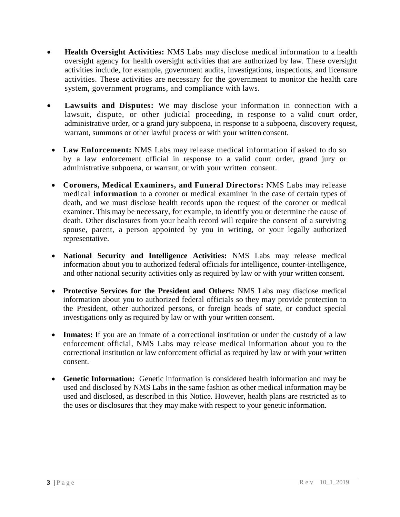- **Health Oversight Activities:** NMS Labs may disclose medical information to a health oversight agency for health oversight activities that are authorized by law. These oversight activities include, for example, government audits, investigations, inspections, and licensure activities. These activities are necessary for the government to monitor the health care system, government programs, and compliance with laws.
- **Lawsuits and Disputes:** We may disclose your information in connection with a lawsuit, dispute, or other judicial proceeding, in response to a valid court order, administrative order, or a grand jury subpoena, in response to a subpoena, discovery request, warrant, summons or other lawful process or with your written consent.
- **Law Enforcement:** NMS Labs may release medical information if asked to do so by a law enforcement official in response to a valid court order, grand jury or administrative subpoena, or warrant, or with your written consent.
- **Coroners, Medical Examiners, and Funeral Directors:** NMS Labs may release medical **information** to a coroner or medical examiner in the case of certain types of death, and we must disclose health records upon the request of the coroner or medical examiner. This may be necessary, for example, to identify you or determine the cause of death. Other disclosures from your health record will require the consent of a surviving spouse, parent, a person appointed by you in writing, or your legally authorized representative.
- **National Security and Intelligence Activities:** NMS Labs may release medical information about you to authorized federal officials for intelligence, counter-intelligence, and other national security activities only as required by law or with your written consent.
- **Protective Services for the President and Others:** NMS Labs may disclose medical information about you to authorized federal officials so they may provide protection to the President, other authorized persons, or foreign heads of state, or conduct special investigations only as required by law or with your written consent.
- **Inmates:** If you are an inmate of a correctional institution or under the custody of a law enforcement official, NMS Labs may release medical information about you to the correctional institution or law enforcement official as required by law or with your written consent.
- **Genetic Information:** Genetic information is considered health information and may be used and disclosed by NMS Labs in the same fashion as other medical information may be used and disclosed, as described in this Notice. However, health plans are restricted as to the uses or disclosures that they may make with respect to your genetic information.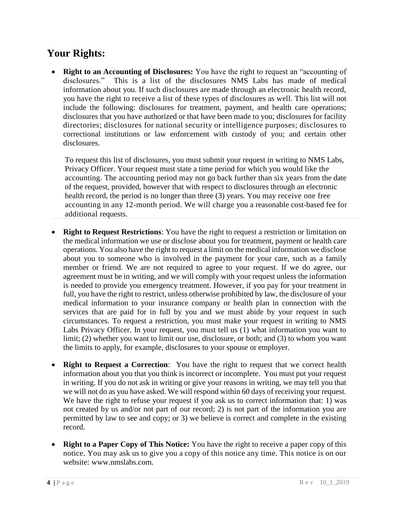## **Your Rights:**

 **Right to an Accounting of Disclosures:** You have the right to request an "accounting of disclosures." This is a list of the disclosures NMS Labs has made of medical information about you. If such disclosures are made through an electronic health record, you have the right to receive a list of these types of disclosures as well. This list will not include the following: disclosures for treatment, payment, and health care operations; disclosures that you have authorized or that have been made to you; disclosures for facility directories; disclosures for national security or intelligence purposes; disclosures to correctional institutions or law enforcement with custody of you; and certain other disclosures.

To request this list of disclosures, you must submit your request in writing to NMS Labs, Privacy Officer. Your request must state a time period for which you would like the accounting. The accounting period may not go back further than six years from the date of the request, provided, however that with respect to disclosures through an electronic health record, the period is no longer than three (3) years. You may receive one free accounting in any 12-month period. We will charge you a reasonable cost-based fee for additional requests.

- **Right to Request Restrictions**: You have the right to request a restriction or limitation on the medical information we use or disclose about you for treatment, payment or health care operations. You also have the right to request a limit on the medical information we disclose about you to someone who is involved in the payment for your care, such as a family member or friend. We are not required to agree to your request. If we do agree, our agreement must be in writing, and we will comply with your request unless the information is needed to provide you emergency treatment. However, if you pay for your treatment in full, you have the right to restrict, unless otherwise prohibited by law, the disclosure of your medical information to your insurance company or health plan in connection with the services that are paid for in full by you and we must abide by your request in such circumstances. To request a restriction, you must make your request in writing to NMS Labs Privacy Officer. In your request, you must tell us (1) what information you want to limit; (2) whether you want to limit our use, disclosure, or both; and (3) to whom you want the limits to apply, for example, disclosures to your spouse or employer.
- **Right to Request a Correction**: You have the right to request that we correct health information about you that you think is incorrect or incomplete. You must put your request in writing. If you do not ask in writing or give your reasons in writing, we may tell you that we will not do as you have asked. We will respond within 60 days of receiving your request. We have the right to refuse your request if you ask us to correct information that: 1) was not created by us and/or not part of our record; 2) is not part of the information you are permitted by law to see and copy; or 3) we believe is correct and complete in the existing record.
- **Right to a Paper Copy of This Notice:** You have the right to receive a paper copy of this notice. You may ask us to give you a copy of this notice any time. This notice is on our website: [www.nmslabs.com.](http://www.nmslabs.com/)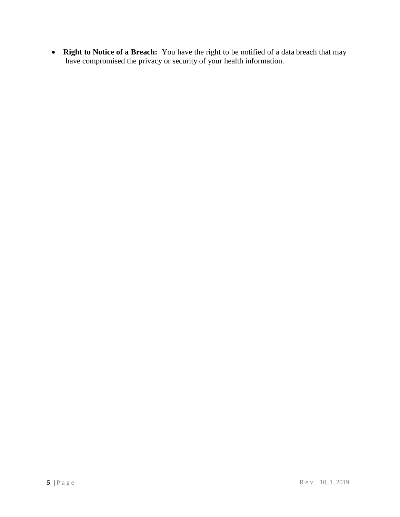**Right to Notice of a Breach:** You have the right to be notified of a data breach that may have compromised the privacy or security of your health information.